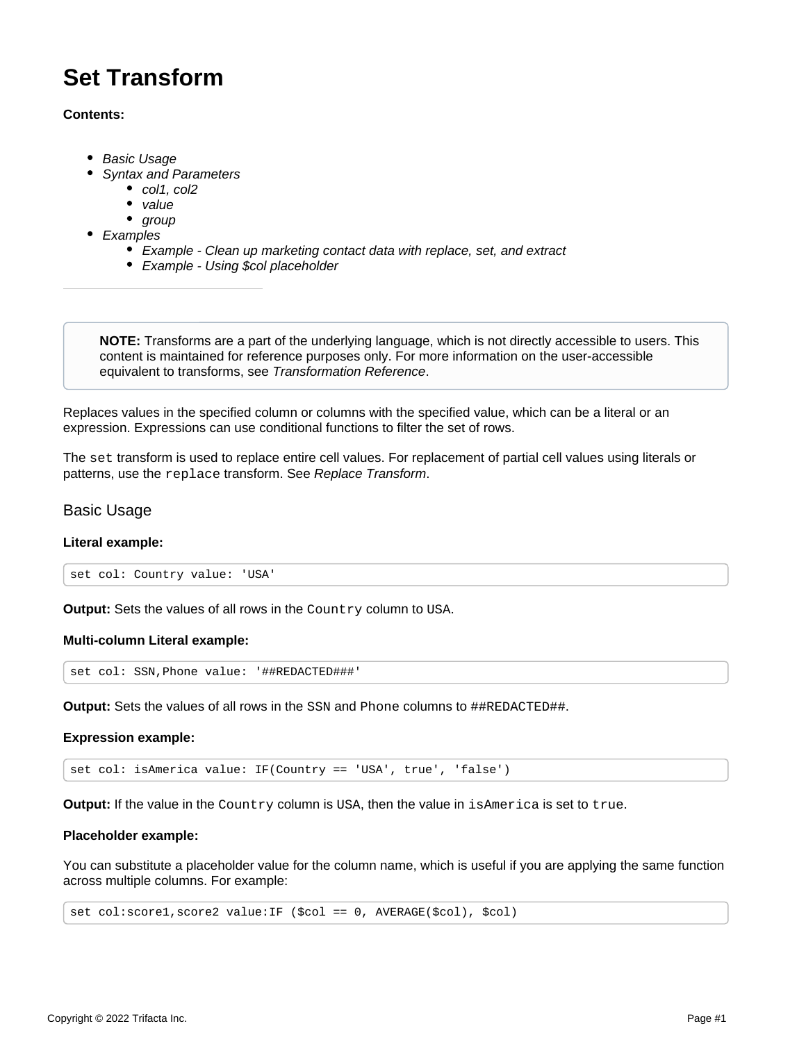# **Set Transform**

#### **Contents:**

- [Basic Usage](#page-0-0)
- [Syntax and Parameters](#page-1-0)
	- [col1, col2](#page-1-1)
	- [value](#page-1-2)
- [group](#page-2-0)
- [Examples](#page-2-1)
	- [Example Clean up marketing contact data with replace, set, and extract](#page-2-2)
	- [Example Using \\$col placeholder](#page-5-0)

**NOTE:** Transforms are a part of the underlying language, which is not directly accessible to users. This content is maintained for reference purposes only. For more information on the user-accessible equivalent to transforms, see [Transformation Reference](https://docs.trifacta.com/display/AWS/Transformation+Reference).

Replaces values in the specified column or columns with the specified value, which can be a literal or an expression. Expressions can use conditional functions to filter the set of rows.

The set transform is used to replace entire cell values. For replacement of partial cell values using literals or patterns, use the replace transform. See [Replace Transform](https://docs.trifacta.com/display/AWS/Replace+Transform).

## <span id="page-0-0"></span>Basic Usage

#### **Literal example:**

set col: Country value: 'USA'

**Output:** Sets the values of all rows in the Country column to USA.

#### **Multi-column Literal example:**

set col: SSN,Phone value: '##REDACTED###'

**Output:** Sets the values of all rows in the SSN and Phone columns to ##REDACTED##.

#### **Expression example:**

set col: isAmerica value: IF(Country == 'USA', true', 'false')

**Output:** If the value in the Country column is USA, then the value in isAmerica is set to true.

#### **Placeholder example:**

You can substitute a placeholder value for the column name, which is useful if you are applying the same function across multiple columns. For example:

set col:score1,score2 value:IF (\$col == 0, AVERAGE(\$col), \$col)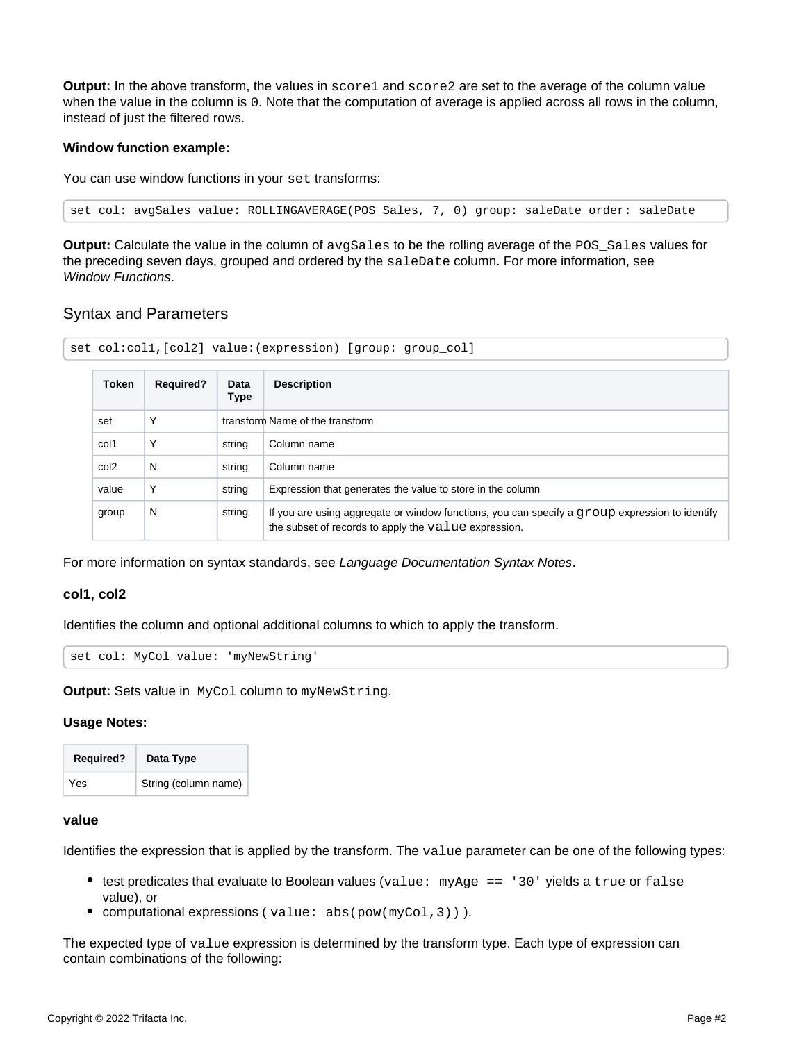**Output:** In the above transform, the values in score1 and score2 are set to the average of the column value when the value in the column is 0. Note that the computation of average is applied across all rows in the column, instead of just the filtered rows.

#### **Window function example:**

You can use window functions in your set transforms:

set col: avgSales value: ROLLINGAVERAGE(POS\_Sales, 7, 0) group: saleDate order: saleDate

**Output:** Calculate the value in the column of avgSales to be the rolling average of the POS\_Sales values for the preceding seven days, grouped and ordered by the saleDate column. For more information, see [Window Functions](https://docs.trifacta.com/display/AWS/Window+Functions).

## <span id="page-1-0"></span>Syntax and Parameters

| Token            | <b>Required?</b> | Data<br><b>Type</b> | <b>Description</b>                                                                                                                                        |
|------------------|------------------|---------------------|-----------------------------------------------------------------------------------------------------------------------------------------------------------|
| set              | Υ                |                     | transform Name of the transform                                                                                                                           |
| col1             | Υ                | string              | Column name                                                                                                                                               |
| col <sub>2</sub> | N                | string              | Column name                                                                                                                                               |
| value            | Υ                | string              | Expression that generates the value to store in the column                                                                                                |
| group            | N                | string              | If you are using aggregate or window functions, you can specify a $q$ roup expression to identify<br>the subset of records to apply the value expression. |

For more information on syntax standards, see [Language Documentation Syntax Notes](https://docs.trifacta.com/display/AWS/Language+Documentation+Syntax+Notes).

#### <span id="page-1-1"></span>**col1, col2**

Identifies the column and optional additional columns to which to apply the transform.

set col: MyCol value: 'myNewString'

**Output:** Sets value in MyCol column to myNewString.

#### **Usage Notes:**

| <b>Required?</b> | Data Type            |
|------------------|----------------------|
| Yes              | String (column name) |

#### <span id="page-1-2"></span>**value**

Identifies the expression that is applied by the transform. The value parameter can be one of the following types:

- $\bullet$  test predicates that evaluate to Boolean values (value: myAge == '30' yields a true or false value), or
- computational expressions (value: abs(pow(myCol,3))).

The expected type of value expression is determined by the transform type. Each type of expression can contain combinations of the following: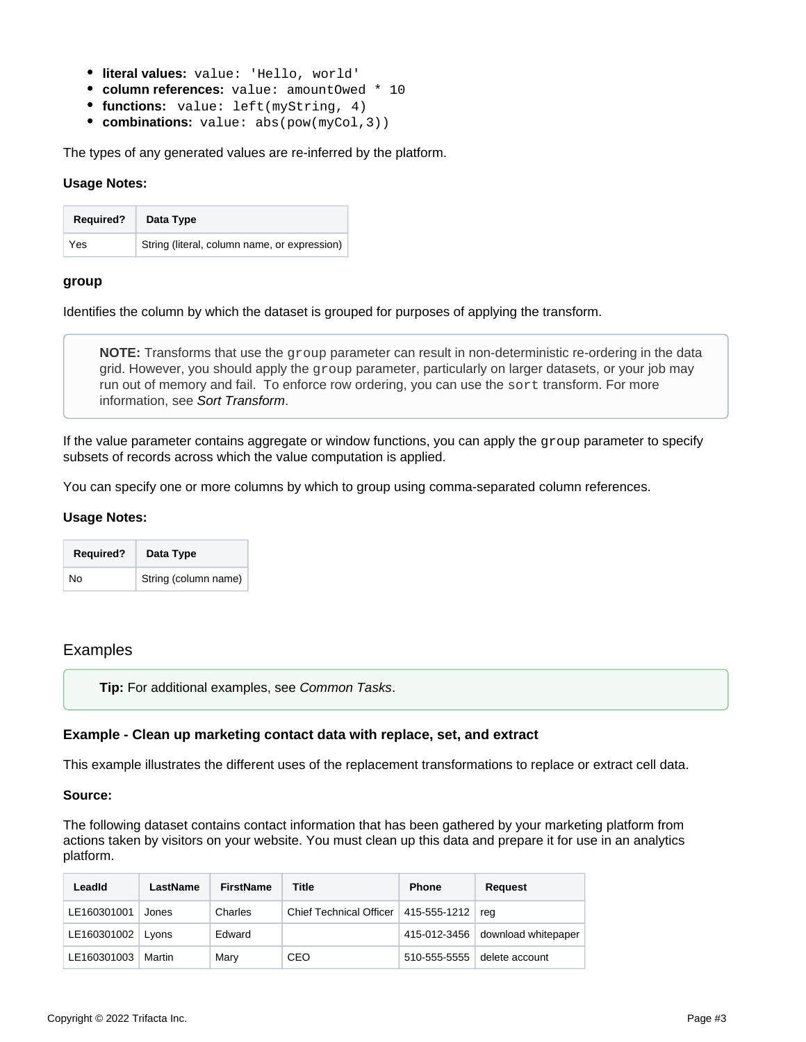- **literal values:** value: 'Hello, world'
- **column references:** value: amountOwed \* 10
- **functions:** value: left(myString, 4)
- **combinations:** value: abs(pow(myCol,3))

The types of any generated values are re-inferred by the platform.

#### **Usage Notes:**

| <b>Required?</b> | Data Type                                    |
|------------------|----------------------------------------------|
| Yes              | String (literal, column name, or expression) |

#### <span id="page-2-0"></span>**group**

Identifies the column by which the dataset is grouped for purposes of applying the transform.

**NOTE:** Transforms that use the group parameter can result in non-deterministic re-ordering in the data grid. However, you should apply the group parameter, particularly on larger datasets, or your job may run out of memory and fail. To enforce row ordering, you can use the sort transform. For more information, see [Sort Transform](https://docs.trifacta.com/display/AWS/Sort+Transform).

If the value parameter contains aggregate or window functions, you can apply the group parameter to specify subsets of records across which the value computation is applied.

You can specify one or more columns by which to group using comma-separated column references.

#### **Usage Notes:**

| <b>Required?</b> | Data Type            |
|------------------|----------------------|
| No               | String (column name) |

## <span id="page-2-1"></span>Examples

**Tip:** For additional examples, see [Common Tasks](https://docs.trifacta.com/display/AWS/Common+Tasks).

#### <span id="page-2-2"></span>**Example - Clean up marketing contact data with replace, set, and extract**

This example illustrates the different uses of the replacement transformations to replace or extract cell data.

#### **Source:**

The following dataset contains contact information that has been gathered by your marketing platform from actions taken by visitors on your website. You must clean up this data and prepare it for use in an analytics platform.

| Leadid              | LastName | FirstName | Title                                        | <b>Phone</b> | Request                          |
|---------------------|----------|-----------|----------------------------------------------|--------------|----------------------------------|
| LE160301001         | Jones    | Charles   | Chief Technical Officer   415-555-1212   reg |              |                                  |
| LE160301002   Lyons |          | Edward    |                                              |              | 415-012-3456 download whitepaper |
| LE160301003         | Martin   | Mary      | CEO                                          | 510-555-5555 | delete account                   |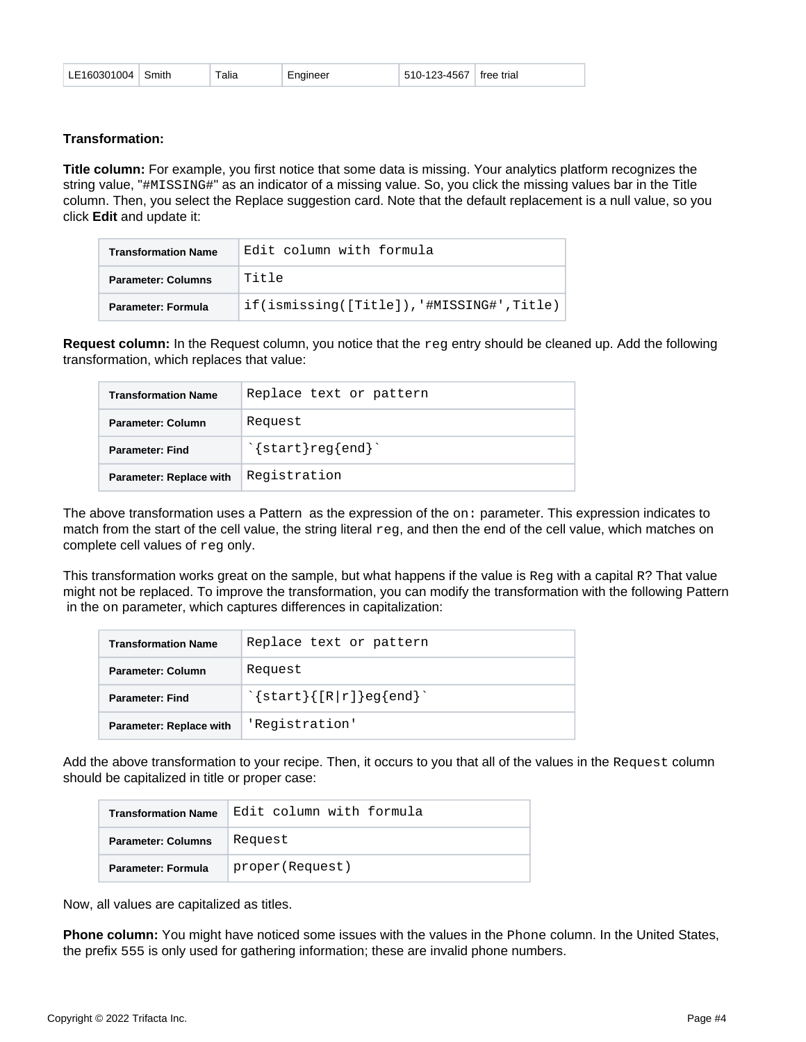| LE160301004   Smith |  | $\tau$ alia | Engineer | 510-123-4567 free trial |  |
|---------------------|--|-------------|----------|-------------------------|--|
|---------------------|--|-------------|----------|-------------------------|--|

#### **Transformation:**

**Title column:** For example, you first notice that some data is missing. Your analytics platform recognizes the string value, "#MISSING#" as an indicator of a missing value. So, you click the missing values bar in the Title column. Then, you select the Replace suggestion card. Note that the default replacement is a null value, so you click **Edit** and update it:

| <b>Transformation Name</b> | Edit column with formula                      |
|----------------------------|-----------------------------------------------|
| <b>Parameter: Columns</b>  | Title                                         |
| <b>Parameter: Formula</b>  | $if(ismission(q([Title]), 'HMISSING#',Title)$ |

**Request column:** In the Request column, you notice that the reg entry should be cleaned up. Add the following transformation, which replaces that value:

| <b>Transformation Name</b>     | Replace text or pattern     |
|--------------------------------|-----------------------------|
| <b>Parameter: Column</b>       | Request                     |
| <b>Parameter: Find</b>         | $\text{'}$ start } reg{end} |
| <b>Parameter: Replace with</b> | Registration                |

The above transformation uses a Pattern as the expression of the on: parameter. This expression indicates to match from the start of the cell value, the string literal  $\text{reg}$ , and then the end of the cell value, which matches on complete cell values of reg only.

This transformation works great on the sample, but what happens if the value is  $\text{Re}q$  with a capital R? That value might not be replaced. To improve the transformation, you can modify the transformation with the following Pattern in the on parameter, which captures differences in capitalization:

| <b>Transformation Name</b> | Replace text or pattern            |
|----------------------------|------------------------------------|
| Parameter: Column          | Request                            |
| Parameter: Find            | $\{\text{start}\}$ [R r]   eg{end} |
| Parameter: Replace with    | 'Registration'                     |

Add the above transformation to your recipe. Then, it occurs to you that all of the values in the Request column should be capitalized in title or proper case:

| <b>Transformation Name</b> | Edit column with formula |
|----------------------------|--------------------------|
| <b>Parameter: Columns</b>  | Request                  |
| Parameter: Formula         | proper(Request)          |

Now, all values are capitalized as titles.

**Phone column:** You might have noticed some issues with the values in the Phone column. In the United States, the prefix 555 is only used for gathering information; these are invalid phone numbers.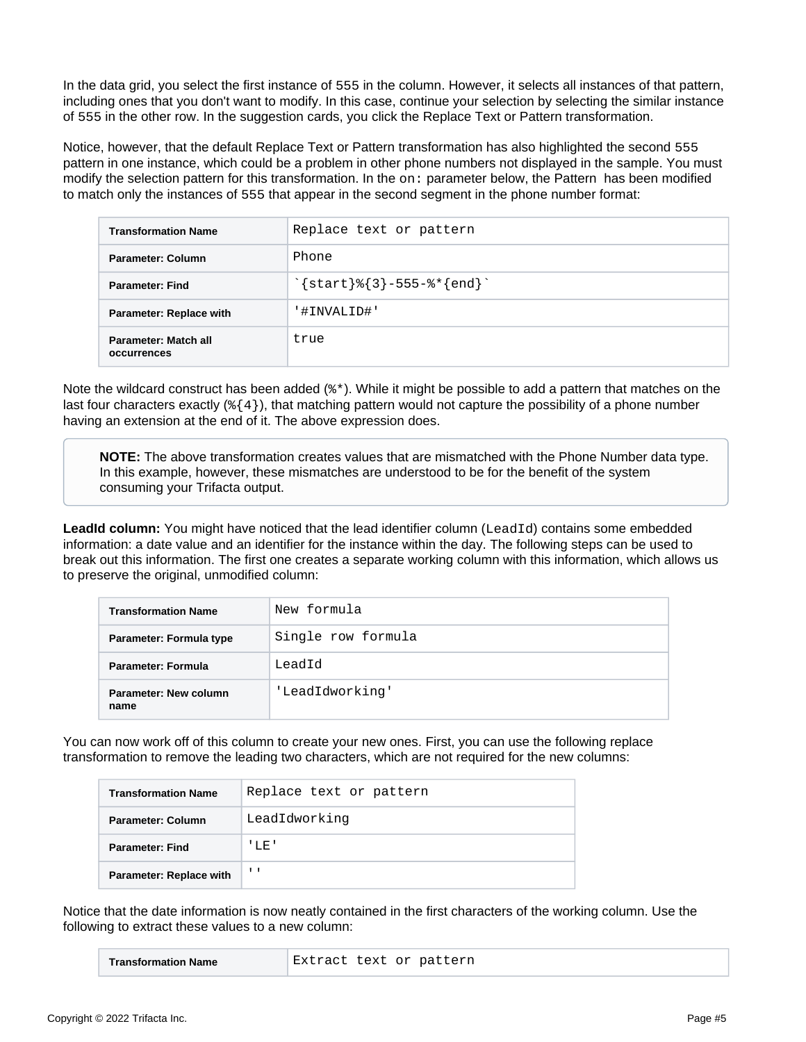In the data grid, you select the first instance of 555 in the column. However, it selects all instances of that pattern, including ones that you don't want to modify. In this case, continue your selection by selecting the similar instance of 555 in the other row. In the suggestion cards, you click the Replace Text or Pattern transformation.

Notice, however, that the default Replace Text or Pattern transformation has also highlighted the second 555 pattern in one instance, which could be a problem in other phone numbers not displayed in the sample. You must modify the selection pattern for this transformation. In the on: parameter below, the Pattern has been modified to match only the instances of 555 that appear in the second segment in the phone number format:

| <b>Transformation Name</b>          | Replace text or pattern                                              |
|-------------------------------------|----------------------------------------------------------------------|
| Parameter: Column                   | Phone                                                                |
| <b>Parameter: Find</b>              | $\text{'} \{ start \} \$ { 3 } -555- $\text{'} \{ end \}$ $\text{'}$ |
| Parameter: Replace with             | '#INVALID#'                                                          |
| Parameter: Match all<br>occurrences | true                                                                 |

Note the wildcard construct has been added ( $\ast\ast$ ). While it might be possible to add a pattern that matches on the last four characters exactly (%{4}), that matching pattern would not capture the possibility of a phone number having an extension at the end of it. The above expression does.

**NOTE:** The above transformation creates values that are mismatched with the Phone Number data type. In this example, however, these mismatches are understood to be for the benefit of the system consuming your Trifacta output.

**LeadId column:** You might have noticed that the lead identifier column (LeadId) contains some embedded information: a date value and an identifier for the instance within the day. The following steps can be used to break out this information. The first one creates a separate working column with this information, which allows us to preserve the original, unmodified column:

| <b>Transformation Name</b>    | New formula        |
|-------------------------------|--------------------|
| Parameter: Formula type       | Single row formula |
| <b>Parameter: Formula</b>     | LeadId             |
| Parameter: New column<br>name | 'LeadIdworking'    |

You can now work off of this column to create your new ones. First, you can use the following replace transformation to remove the leading two characters, which are not required for the new columns:

| <b>Transformation Name</b>     | Replace text or pattern |
|--------------------------------|-------------------------|
| Parameter: Column              | LeadIdworking           |
| <b>Parameter: Find</b>         | ' LE '                  |
| <b>Parameter: Replace with</b> | $\mathbf{I}$            |

Notice that the date information is now neatly contained in the first characters of the working column. Use the following to extract these values to a new column:

|--|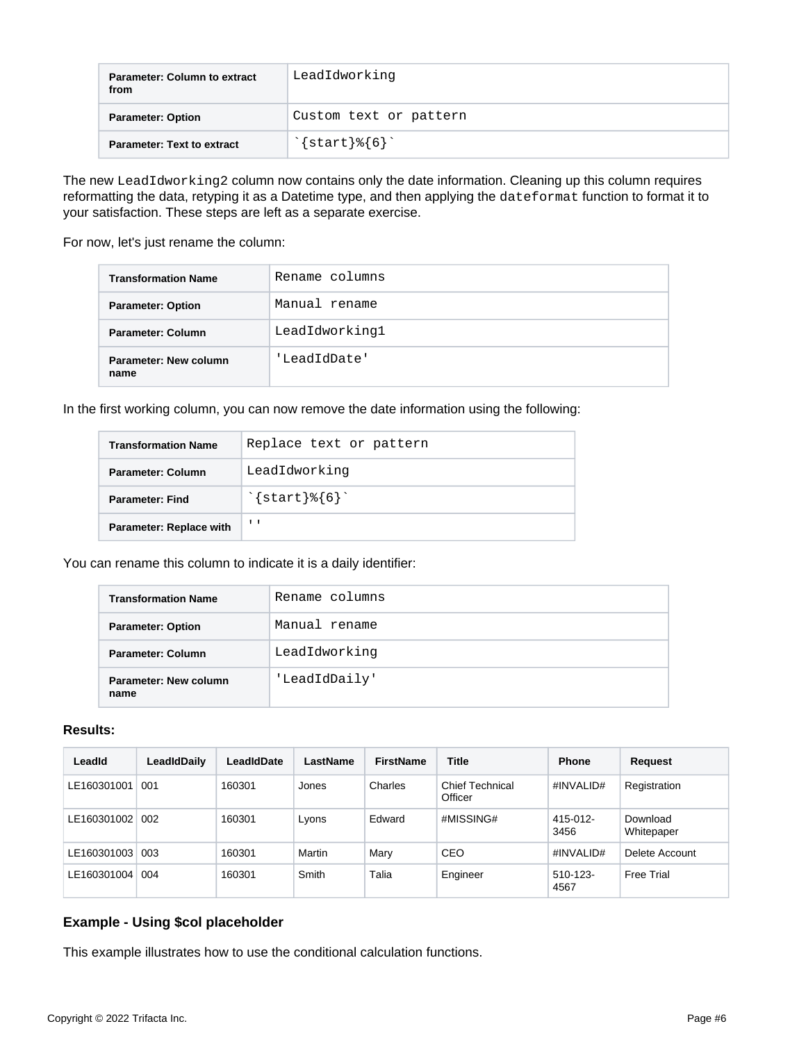| <b>Parameter: Column to extract</b><br>from | LeadIdworking              |
|---------------------------------------------|----------------------------|
| <b>Parameter: Option</b>                    | Custom text or pattern     |
| <b>Parameter: Text to extract</b>           | $\text{'}$ start } $\{6\}$ |

The new LeadIdworking2 column now contains only the date information. Cleaning up this column requires reformatting the data, retyping it as a Datetime type, and then applying the dateformat function to format it to your satisfaction. These steps are left as a separate exercise.

For now, let's just rename the column:

| <b>Transformation Name</b>    | Rename columns |
|-------------------------------|----------------|
| <b>Parameter: Option</b>      | Manual rename  |
| Parameter: Column             | LeadIdworking1 |
| Parameter: New column<br>name | 'LeadIdDate'   |

In the first working column, you can now remove the date information using the following:

| <b>Transformation Name</b>     | Replace text or pattern    |
|--------------------------------|----------------------------|
| Parameter: Column              | LeadIdworking              |
| <b>Parameter: Find</b>         | $\text{'}$ start } $\{6\}$ |
| <b>Parameter: Replace with</b> | $\mathbf{1}$               |

You can rename this column to indicate it is a daily identifier:

| <b>Transformation Name</b>    | Rename columns |
|-------------------------------|----------------|
| <b>Parameter: Option</b>      | Manual rename  |
| Parameter: Column             | LeadIdworking  |
| Parameter: New column<br>name | 'LeadIdDaily'  |

### **Results:**

| LeadId      | LeadIdDaily | LeadIdDate | LastName | <b>FirstName</b> | <b>Title</b>                      | <b>Phone</b>     | Request                |
|-------------|-------------|------------|----------|------------------|-----------------------------------|------------------|------------------------|
| LE160301001 | 001         | 160301     | Jones    | Charles          | <b>Chief Technical</b><br>Officer | #INVALID#        | Registration           |
| LE160301002 | 002         | 160301     | Lyons    | Edward           | #MISSING#                         | 415-012-<br>3456 | Download<br>Whitepaper |
| LE160301003 | 003         | 160301     | Martin   | Mary             | CEO                               | #INVALID#        | Delete Account         |
| LE160301004 | 004         | 160301     | Smith    | Talia            | Engineer                          | 510-123-<br>4567 | Free Trial             |

## <span id="page-5-0"></span>**Example - Using \$col placeholder**

This example illustrates how to use the conditional calculation functions.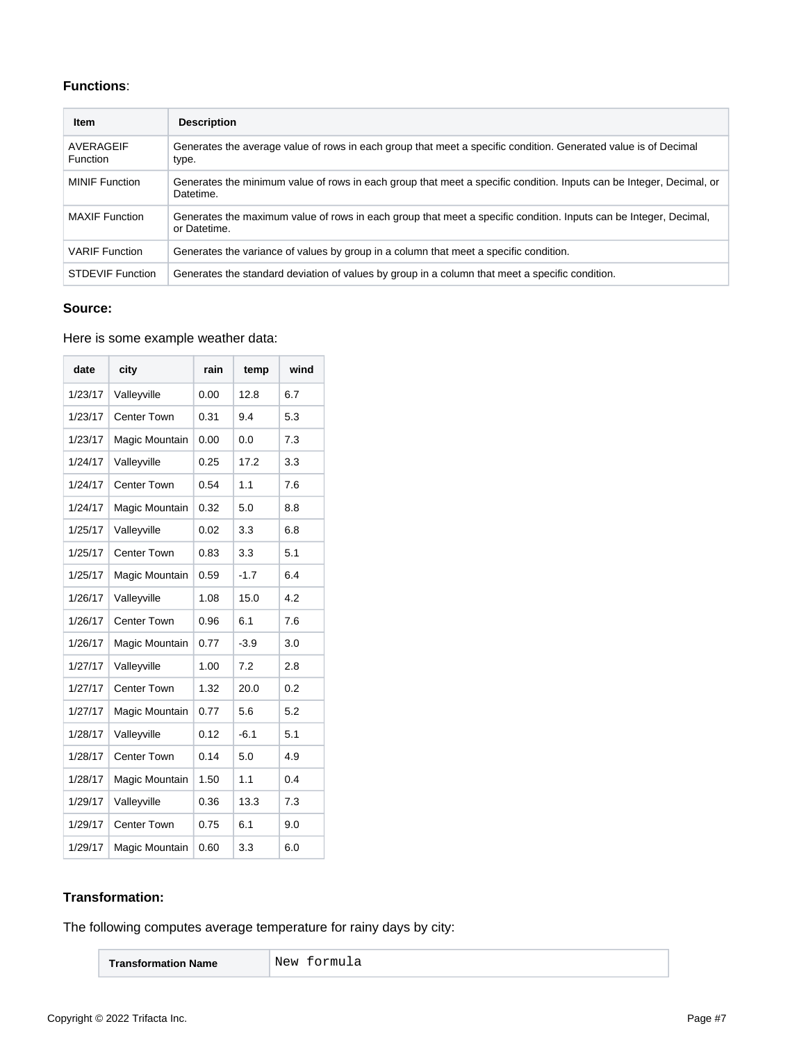## **Functions**:

| Item                         | <b>Description</b>                                                                                                                |
|------------------------------|-----------------------------------------------------------------------------------------------------------------------------------|
| AVERAGEIF<br><b>Function</b> | Generates the average value of rows in each group that meet a specific condition. Generated value is of Decimal<br>type.          |
| <b>MINIF</b> Function        | Generates the minimum value of rows in each group that meet a specific condition. Inputs can be Integer, Decimal, or<br>Datetime. |
| <b>MAXIF</b> Function        | Generates the maximum value of rows in each group that meet a specific condition. Inputs can be Integer, Decimal,<br>or Datetime. |
| <b>VARIF</b> Function        | Generates the variance of values by group in a column that meet a specific condition.                                             |
| <b>STDEVIF Function</b>      | Generates the standard deviation of values by group in a column that meet a specific condition.                                   |

## **Source:**

#### Here is some example weather data:

| date    | city               | rain | temp   | wind |
|---------|--------------------|------|--------|------|
| 1/23/17 | Valleyville        | 0.00 | 12.8   | 6.7  |
| 1/23/17 | Center Town        | 0.31 | 9.4    | 5.3  |
| 1/23/17 | Magic Mountain     | 0.00 | 0.0    | 7.3  |
| 1/24/17 | Valleyville        | 0.25 | 17.2   | 3.3  |
| 1/24/17 | <b>Center Town</b> | 0.54 | 1.1    | 7.6  |
| 1/24/17 | Magic Mountain     | 0.32 | 5.0    | 8.8  |
| 1/25/17 | Valleyville        | 0.02 | 3.3    | 6.8  |
| 1/25/17 | <b>Center Town</b> | 0.83 | 3.3    | 5.1  |
| 1/25/17 | Magic Mountain     | 0.59 | $-1.7$ | 6.4  |
| 1/26/17 | Valleyville        | 1.08 | 15.0   | 4.2  |
| 1/26/17 | <b>Center Town</b> | 0.96 | 6.1    | 7.6  |
| 1/26/17 | Magic Mountain     | 0.77 | $-3.9$ | 3.0  |
| 1/27/17 | Valleyville        | 1.00 | 7.2    | 2.8  |
| 1/27/17 | <b>Center Town</b> | 1.32 | 20.0   | 0.2  |
| 1/27/17 | Magic Mountain     | 0.77 | 5.6    | 5.2  |
| 1/28/17 | Valleyville        | 0.12 | $-6.1$ | 5.1  |
| 1/28/17 | <b>Center Town</b> | 0.14 | 5.0    | 4.9  |
| 1/28/17 | Magic Mountain     | 1.50 | 1.1    | 0.4  |
| 1/29/17 | Valleyville        | 0.36 | 13.3   | 7.3  |
| 1/29/17 | <b>Center Town</b> | 0.75 | 6.1    | 9.0  |
| 1/29/17 | Magic Mountain     | 0.60 | 3.3    | 6.0  |

## **Transformation:**

The following computes average temperature for rainy days by city:

| <b>Transformation Name</b> |
|----------------------------|
|----------------------------|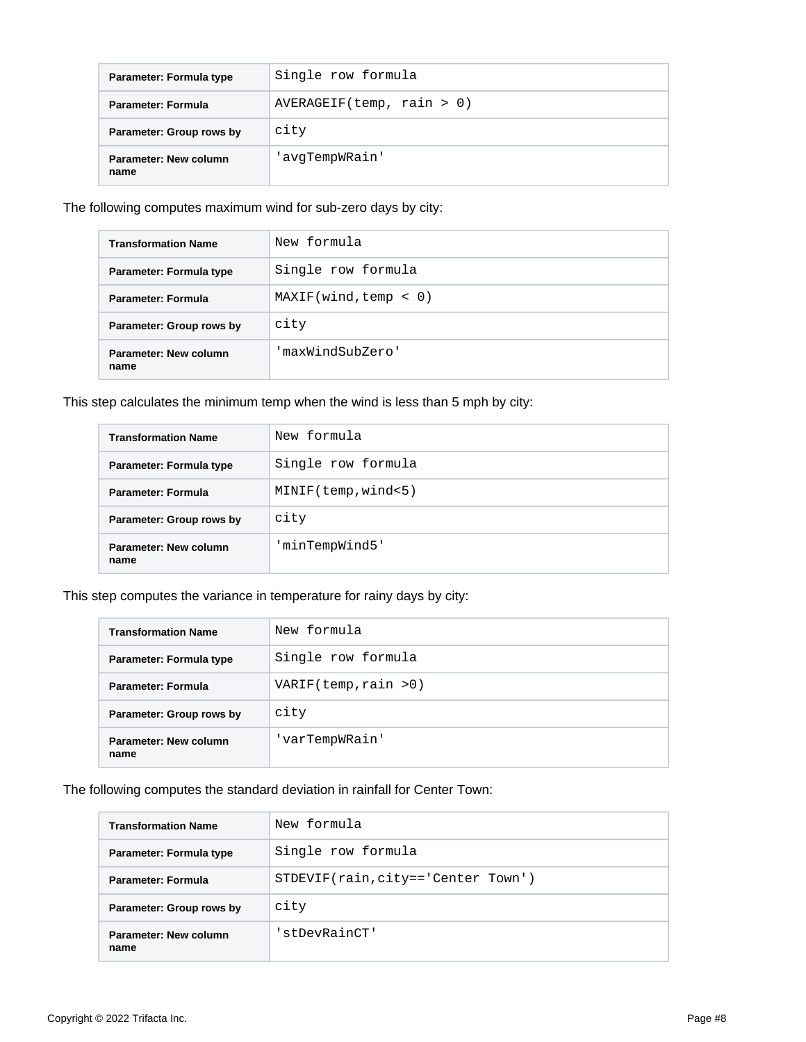| Parameter: Formula type       | Single row formula        |
|-------------------------------|---------------------------|
| Parameter: Formula            | AVERAGEIF(temp, rain > 0) |
| Parameter: Group rows by      | city                      |
| Parameter: New column<br>name | 'avqTempWRain'            |

The following computes maximum wind for sub-zero days by city:

| <b>Transformation Name</b>    | New formula           |
|-------------------------------|-----------------------|
| Parameter: Formula type       | Single row formula    |
| Parameter: Formula            | MAXIF(wind, temp < 0) |
| Parameter: Group rows by      | city                  |
| Parameter: New column<br>name | 'maxWindSubZero'      |

This step calculates the minimum temp when the wind is less than 5 mph by city:

| <b>Transformation Name</b>    | New formula         |  |  |  |
|-------------------------------|---------------------|--|--|--|
| Parameter: Formula type       | Single row formula  |  |  |  |
| Parameter: Formula            | MINIF(temp, wind<5) |  |  |  |
| Parameter: Group rows by      | city                |  |  |  |
| Parameter: New column<br>name | 'minTempWind5'      |  |  |  |

This step computes the variance in temperature for rainy days by city:

| <b>Transformation Name</b>    | New formula           |  |  |  |
|-------------------------------|-----------------------|--|--|--|
| Parameter: Formula type       | Single row formula    |  |  |  |
| Parameter: Formula            | VARIF(temp, rain > 0) |  |  |  |
| Parameter: Group rows by      | city                  |  |  |  |
| Parameter: New column<br>name | 'varTempWRain'        |  |  |  |

The following computes the standard deviation in rainfall for Center Town:

| <b>Transformation Name</b>    | New formula                          |  |  |  |
|-------------------------------|--------------------------------------|--|--|--|
| Parameter: Formula type       | Single row formula                   |  |  |  |
| <b>Parameter: Formula</b>     | $STDEVIF(rain, city=='Center Town')$ |  |  |  |
| Parameter: Group rows by      | city                                 |  |  |  |
| Parameter: New column<br>name | 'stDevRainCT'                        |  |  |  |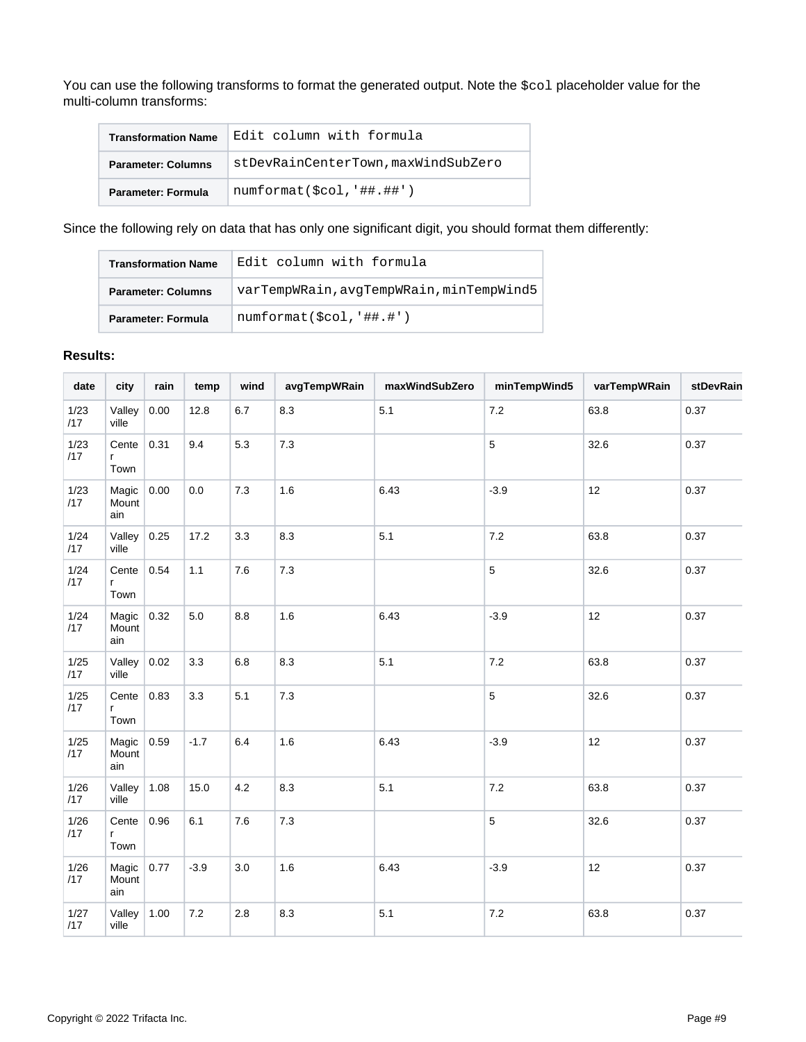You can use the following transforms to format the generated output. Note the \$col placeholder value for the multi-column transforms:

| <b>Transformation Name</b> | Edit column with formula            |  |  |  |  |
|----------------------------|-------------------------------------|--|--|--|--|
| <b>Parameter: Columns</b>  | stDevRainCenterTown, maxWindSubZero |  |  |  |  |
| <b>Parameter: Formula</b>  | $numformat({$col,'##.*#')}$         |  |  |  |  |

Since the following rely on data that has only one significant digit, you should format them differently:

| <b>Transformation Name</b> | Edit column with formula                 |
|----------------------------|------------------------------------------|
| <b>Parameter: Columns</b>  | varTempWRain, avqTempWRain, minTempWind5 |
| <b>Parameter: Formula</b>  | numformat(Scol, '##, '')                 |

## **Results:**

| date          | city                  | rain | temp    | wind | avgTempWRain | maxWindSubZero | minTempWind5 | varTempWRain | stDevRain |
|---------------|-----------------------|------|---------|------|--------------|----------------|--------------|--------------|-----------|
| 1/23<br>/17   | Valley<br>ville       | 0.00 | 12.8    | 6.7  | 8.3          | 5.1            | $7.2\,$      | 63.8         | 0.37      |
| 1/23<br>/17   | Cente<br>r<br>Town    | 0.31 | 9.4     | 5.3  | $7.3$        |                | 5            | 32.6         | 0.37      |
| 1/23<br>/17   | Magic<br>Mount<br>ain | 0.00 | $0.0\,$ | 7.3  | 1.6          | 6.43           | $-3.9$       | 12           | 0.37      |
| 1/24<br>/17   | Valley<br>ville       | 0.25 | 17.2    | 3.3  | 8.3          | 5.1            | $7.2\,$      | 63.8         | 0.37      |
| 1/24<br>/17   | Cente<br>r<br>Town    | 0.54 | 1.1     | 7.6  | $7.3$        |                | 5            | 32.6         | 0.37      |
| 1/24<br>/17   | Magic<br>Mount<br>ain | 0.32 | 5.0     | 8.8  | 1.6          | 6.43           | $-3.9$       | 12           | 0.37      |
| 1/25<br>/17   | Valley<br>ville       | 0.02 | 3.3     | 6.8  | 8.3          | 5.1            | $7.2\,$      | 63.8         | 0.37      |
| 1/25<br>/17   | Cente<br>r<br>Town    | 0.83 | 3.3     | 5.1  | $7.3$        |                | 5            | 32.6         | 0.37      |
| 1/25<br>/17   | Magic<br>Mount<br>ain | 0.59 | $-1.7$  | 6.4  | 1.6          | 6.43           | $-3.9$       | 12           | 0.37      |
| 1/26<br>/17   | Valley<br>ville       | 1.08 | 15.0    | 4.2  | 8.3          | 5.1            | $7.2\,$      | 63.8         | 0.37      |
| $1/26$<br>/17 | Cente<br>r<br>Town    | 0.96 | 6.1     | 7.6  | $7.3$        |                | 5            | 32.6         | 0.37      |
| 1/26<br>/17   | Magic<br>Mount<br>ain | 0.77 | $-3.9$  | 3.0  | 1.6          | 6.43           | $-3.9$       | 12           | 0.37      |
| 1/27<br>/17   | Valley<br>ville       | 1.00 | $7.2\,$ | 2.8  | 8.3          | 5.1            | $7.2\,$      | 63.8         | 0.37      |